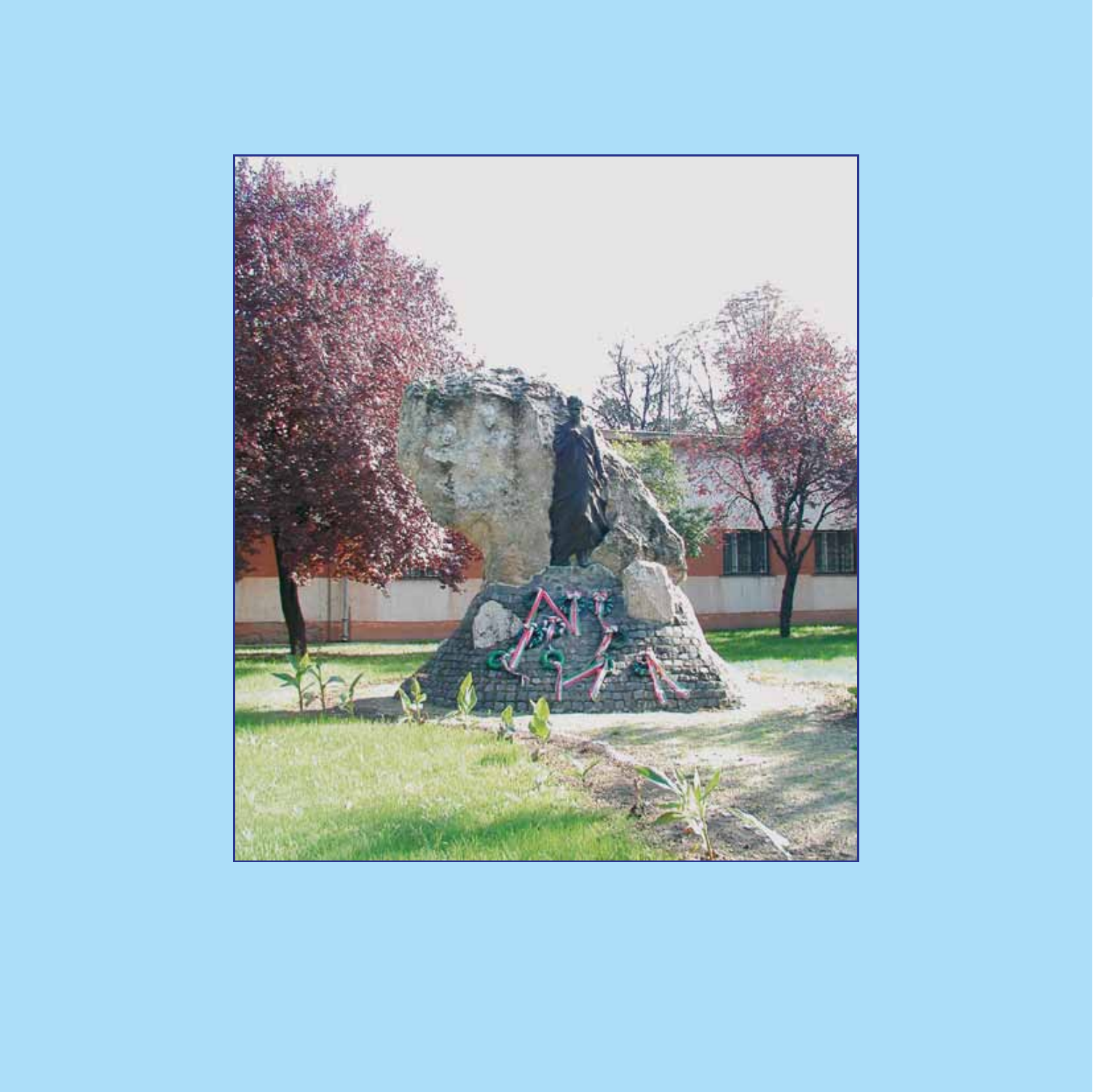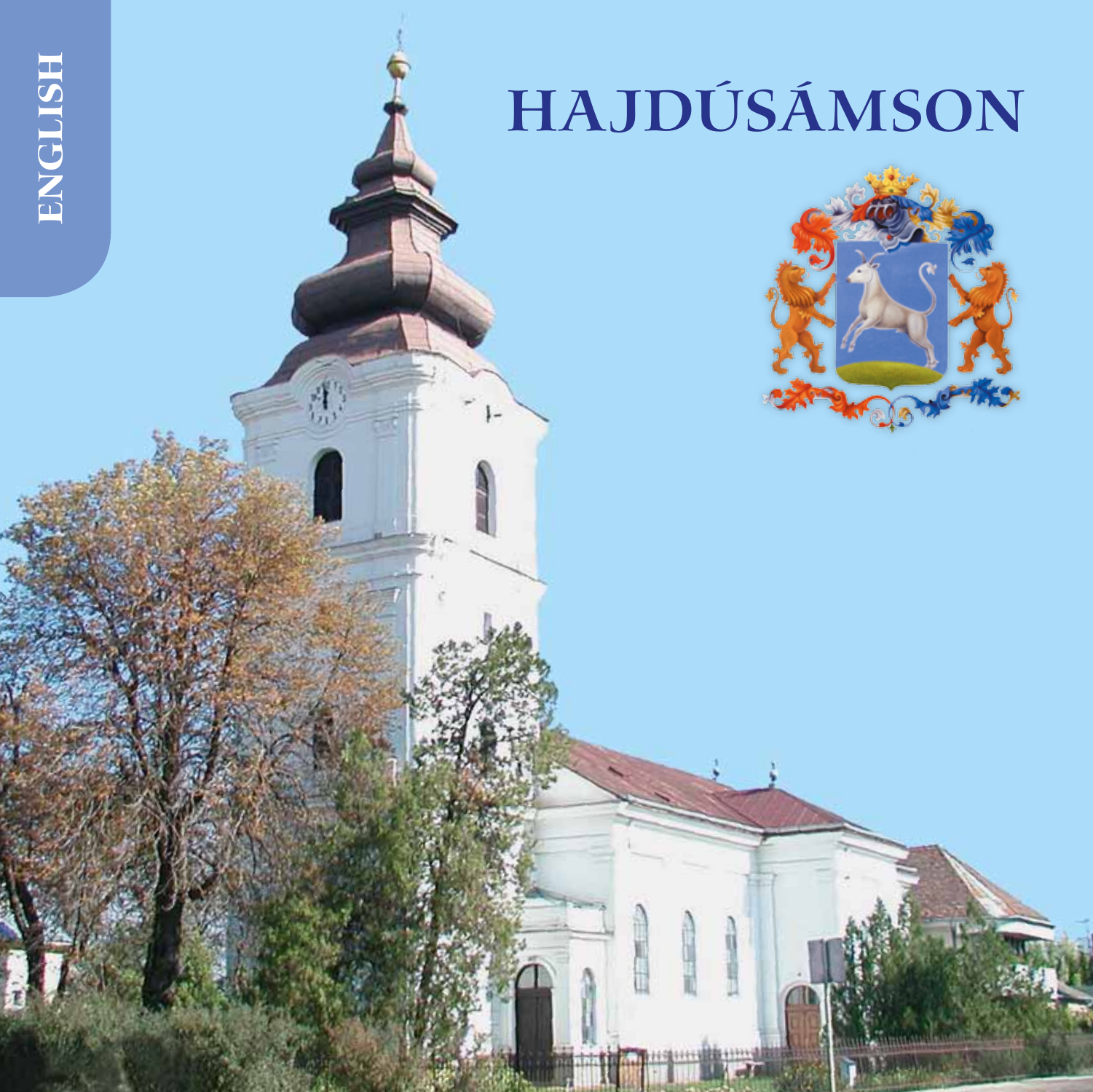# HAJDÚSÁMSON

ENGLISH english

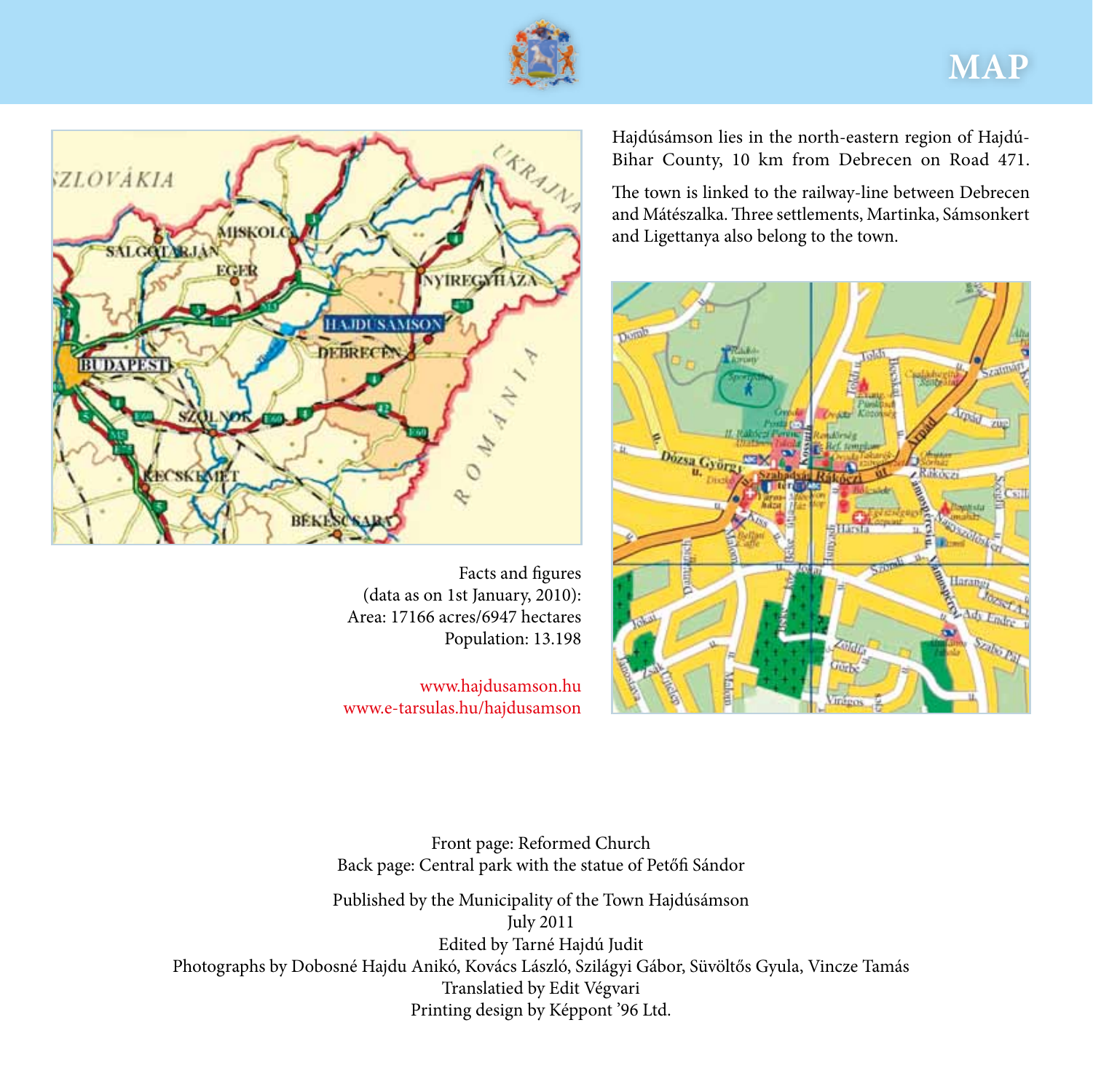



Facts and figures (data as on 1st January, 2010): Area: 17166 acres/6947 hectares Population: 13.198

www.hajdusamson.hu www.e-tarsulas.hu/hajdusamson Hajdúsámson lies in the north-eastern region of Hajdú-Bihar County, 10 km from Debrecen on Road 471.

The town is linked to the railway-line between Debrecen and Mátészalka. Three settlements, Martinka, Sámsonkert and Ligettanya also belong to the town.



Front page: Reformed Church Back page: Central park with the statue of Petőfi Sándor

Published by the Municipality of the Town Hajdúsámson July 2011 Edited by Tarné Hajdú Judit Photographs by Dobosné Hajdu Anikó, Kovács László, Szilágyi Gábor, Süvöltős Gyula, Vincze Tamás Translatied by Edit Végvari Printing design by Képpont '96 Ltd.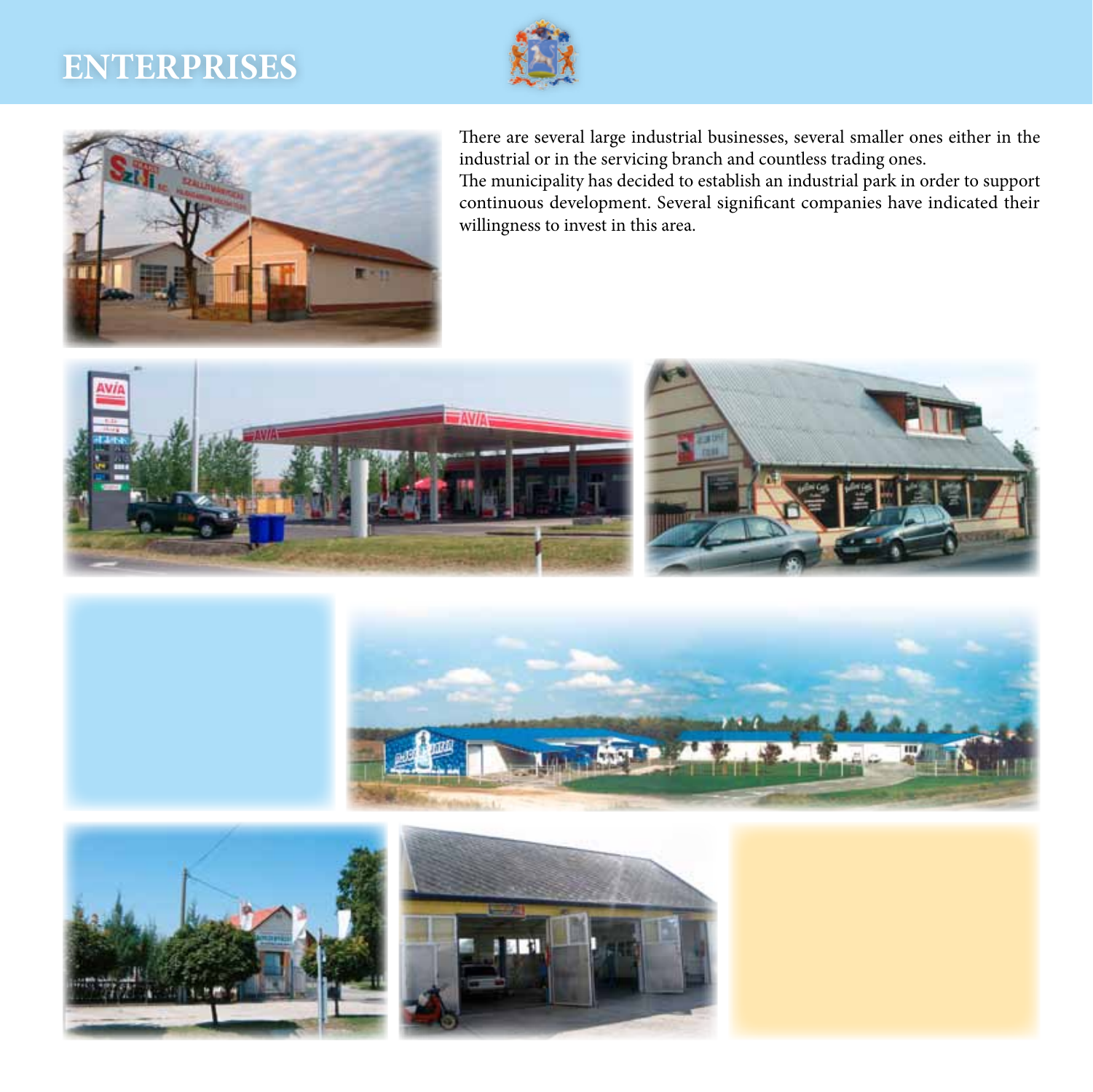### **ENTERPRISES**





There are several large industrial businesses, several smaller ones either in the industrial or in the servicing branch and countless trading ones.

The municipality has decided to establish an industrial park in order to support continuous development. Several significant companies have indicated their willingness to invest in this area.







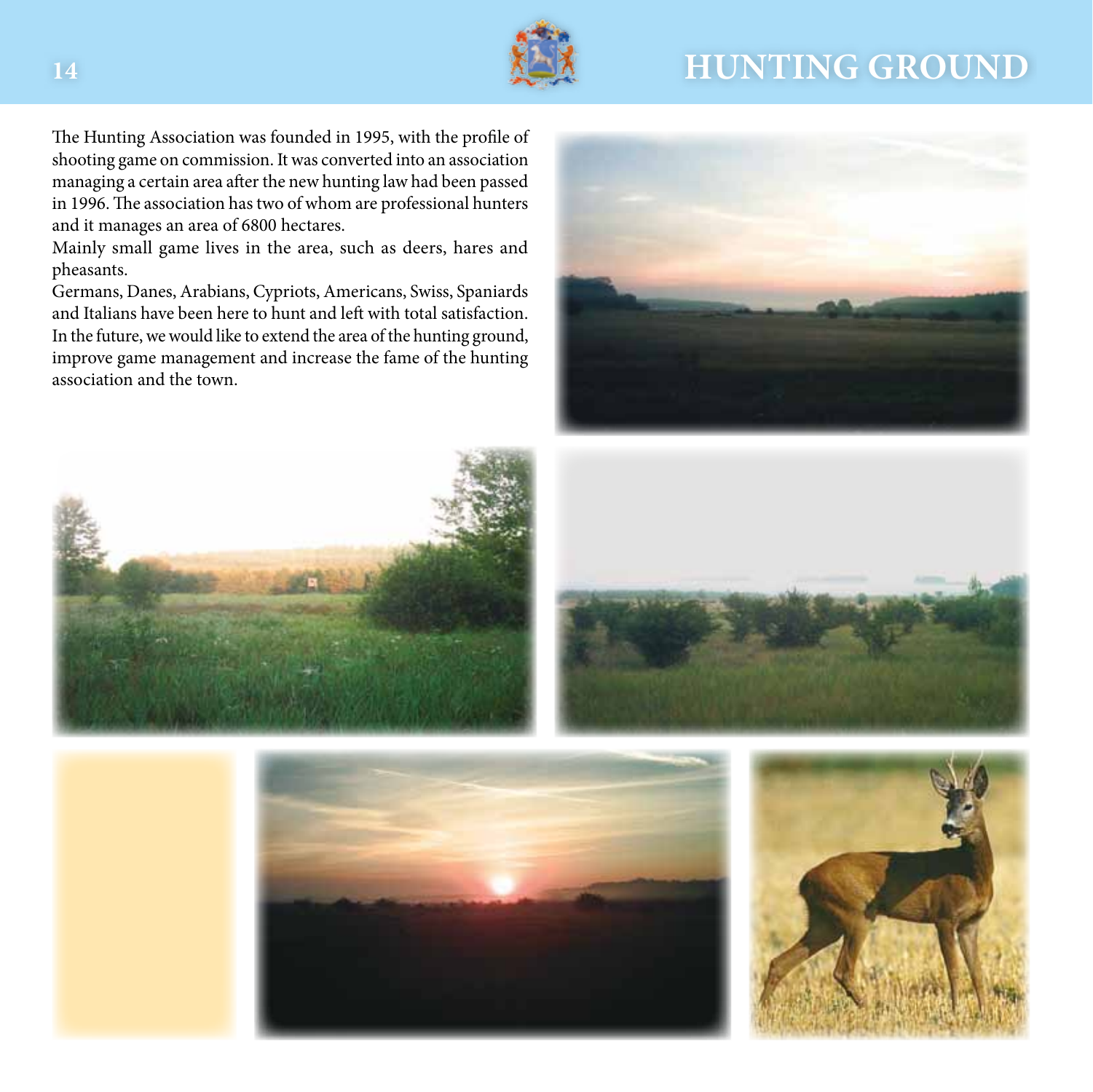

### **14 hunting GROUND**

The Hunting Association was founded in 1995, with the profile of shooting game on commission. It was converted into an association managing a certain area after the new hunting law had been passed in 1996. The association has two of whom are professional hunters and it manages an area of 6800 hectares.

Mainly small game lives in the area, such as deers, hares and pheasants.

Germans, Danes, Arabians, Cypriots, Americans, Swiss, Spaniards and Italians have been here to hunt and left with total satisfaction. In the future, we would like to extend the area of the hunting ground, improve game management and increase the fame of the hunting association and the town.







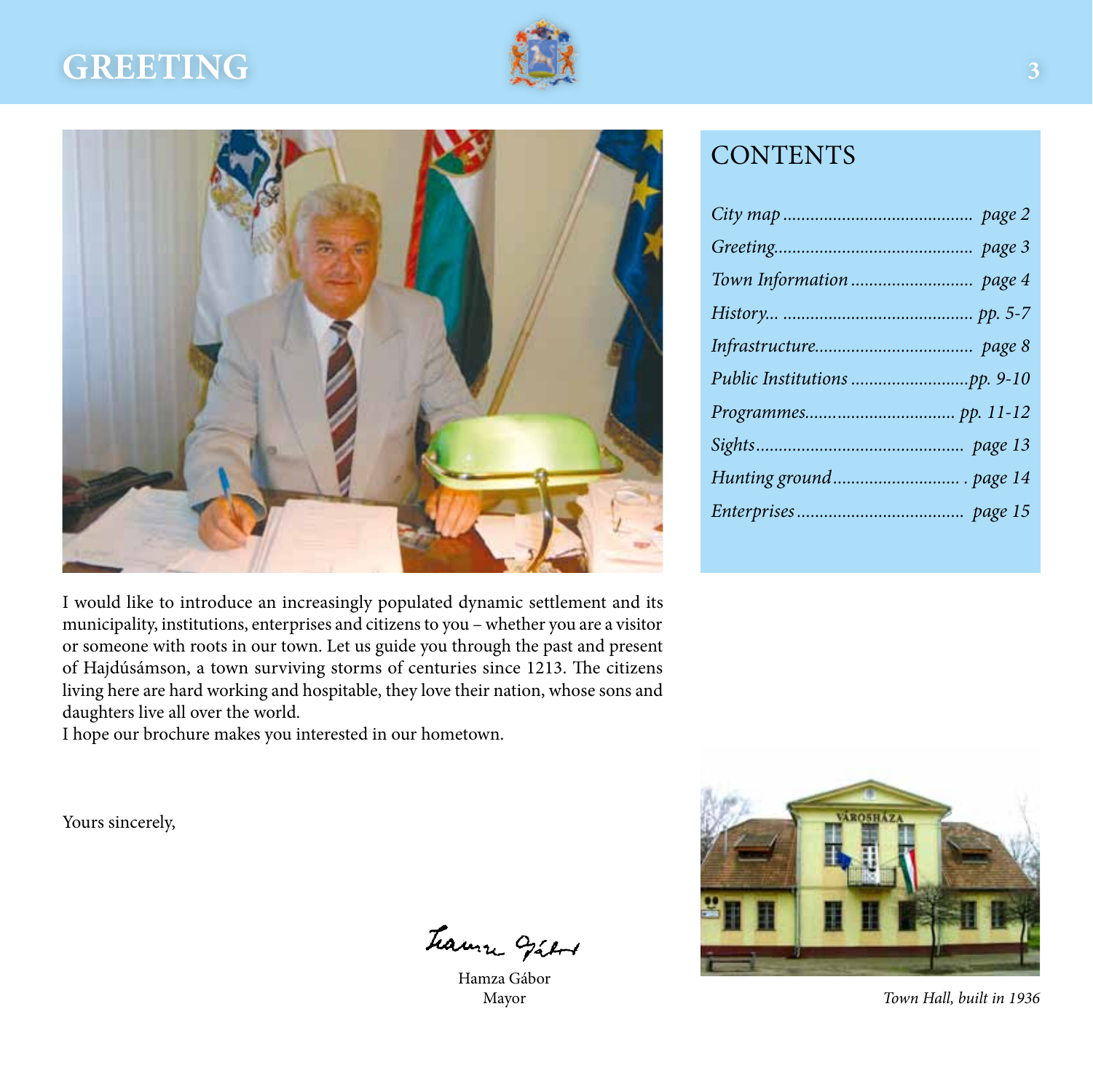### **greeting 3 3**





I would like to introduce an increasingly populated dynamic settlement and its municipality, institutions, enterprises and citizens to you – whether you are a visitor or someone with roots in our town. Let us guide you through the past and present of Hajdúsámson, a town surviving storms of centuries since 1213. The citizens living here are hard working and hospitable, they love their nation, whose sons and daughters live all over the world.

I hope our brochure makes you interested in our hometown.

### **CONTENTS**

Yours sincerely,

Laure Gabri

Hamza Gábor Mayor



*Town Hall, built in 1936*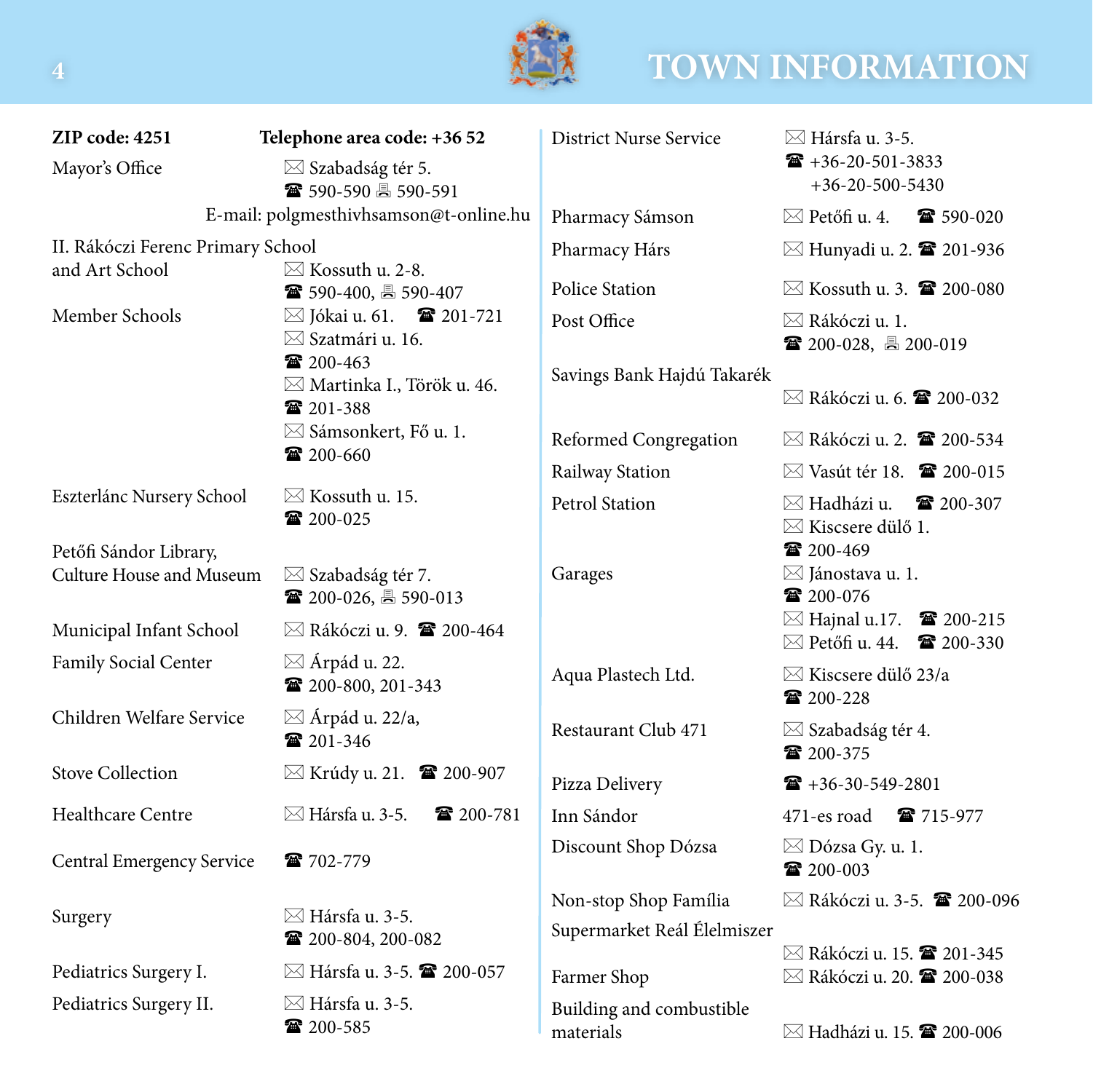

## **4 TOWN INFORMATION**

| ZIP code: 4251                                                                     | Telephone area code: +36 52                                                                 | <b>District Nurse Service</b>                        | $\boxtimes$ Hársfa u. 3-5.                                                                          |
|------------------------------------------------------------------------------------|---------------------------------------------------------------------------------------------|------------------------------------------------------|-----------------------------------------------------------------------------------------------------|
| Mayor's Office                                                                     | $\boxtimes$ Szabadság tér 5.<br>☎ 590-590  590-591                                          |                                                      | $\mathbf{R}$ +36-20-501-3833<br>$+36-20-500-5430$                                                   |
| E-mail: polgmesthivhsamson@t-online.hu                                             |                                                                                             | Pharmacy Sámson                                      | $\boxtimes$ Petőfi u. 4. $\bullet$ 590-020                                                          |
| II. Rákóczi Ferenc Primary School<br>and Art School<br>$\boxtimes$ Kossuth u. 2-8. |                                                                                             | Pharmacy Hárs                                        | $\boxtimes$ Hunyadi u. 2. $\blacksquare$ 201-936                                                    |
|                                                                                    | ☎ 590-400, 島 590-407                                                                        | <b>Police Station</b>                                | $\boxtimes$ Kossuth u. 3. $\blacksquare$ 200-080                                                    |
| Member Schools                                                                     | $\boxtimes$ Jókai u. 61. $\blacksquare$ 201-721<br>⊠ Szatmári u. 16.                        | Post Office                                          | ⊠ Rákóczi u. 1.<br>☎ 200-028, 昌 200-019                                                             |
|                                                                                    | ☎ 200-463<br>⊠ Martinka I., Török u. 46.<br>$201 - 388$<br>$\boxtimes$ Sámsonkert, Fő u. 1. | Savings Bank Hajdú Takarék                           | ⊠ Rákóczi u. 6. <sup>2</sup> 200-032                                                                |
|                                                                                    |                                                                                             | Reformed Congregation                                | ⊠ Rákóczi u. 2. <sup>2</sup> 200-534                                                                |
|                                                                                    | ☎ 200-660                                                                                   | Railway Station                                      | $\boxtimes$ Vasút tér 18. $\blacksquare$ 200-015                                                    |
| Eszterlánc Nursery School                                                          | $\boxtimes$ Kossuth u. 15.<br>☎ 200-025                                                     | Petrol Station                                       | $\boxtimes$ Hadházi u.<br>$200-307$<br>$\boxtimes$ Kiscsere dülő 1.                                 |
| Petőfi Sándor Library,<br>Culture House and Museum                                 | $\boxtimes$ Szabadság tér 7.<br>☎ 200-026, 島 590-013                                        | Garages                                              | ☎ 200-469<br>$\boxtimes$ Jánostava u. 1.<br>☎ 200-076                                               |
| Municipal Infant School                                                            | ⊠ Rákóczi u. 9. <sup>2</sup> 200-464                                                        |                                                      | $\boxtimes$ Hajnal u.17. $\blacksquare$ 200-215<br>$\boxtimes$ Petőfi u. 44. $\blacksquare$ 200-330 |
| Family Social Center                                                               | $\boxtimes$ Árpád u. 22.<br>200-800, 201-343                                                | Aqua Plastech Ltd.                                   | $\boxtimes$ Kiscsere dülő 23/a<br>☎ 200-228                                                         |
| Children Welfare Service                                                           | $\boxtimes$ Árpád u. 22/a,<br>☎ 201-346                                                     | Restaurant Club 471                                  | $\boxtimes$ Szabadság tér 4.<br>☎ 200-375                                                           |
| <b>Stove Collection</b>                                                            | $\boxtimes$ Krúdy u. 21. $\blacksquare$ 200-907                                             | Pizza Delivery                                       | $\mathbf{R}$ +36-30-549-2801                                                                        |
| Healthcare Centre                                                                  | $\boxtimes$ Hársfa u. 3-5.<br>☎ 200-781                                                     | Inn Sándor                                           | 471-es road T 715-977                                                                               |
| Central Emergency Service                                                          | ☎ 702-779                                                                                   | Discount Shop Dózsa                                  | $\boxtimes$ Dózsa Gy. u. 1.<br>☎ 200-003                                                            |
| Surgery                                                                            | $\boxtimes$ Hársfa u. 3-5.<br>200-804, 200-082                                              | Non-stop Shop Família<br>Supermarket Reál Élelmiszer | ⊠ Rákóczi u. 3-5. <sup>2</sup> 200-096<br>⊠ Rákóczi u. 15. <sup>2</sup> 201-345                     |
| Pediatrics Surgery I.                                                              | ⊠ Hársfa u. 3-5. <sup>22</sup> 200-057                                                      | Farmer Shop                                          | $\boxtimes$ Rákóczi u. 20. $\blacksquare$ 200-038                                                   |
| Pediatrics Surgery II.                                                             | $\boxtimes$ Hársfa u. 3-5.<br>☎ 200-585                                                     | Building and combustible<br>materials                | ⊠ Hadházi u. 15. <sup>2</sup> 200-006                                                               |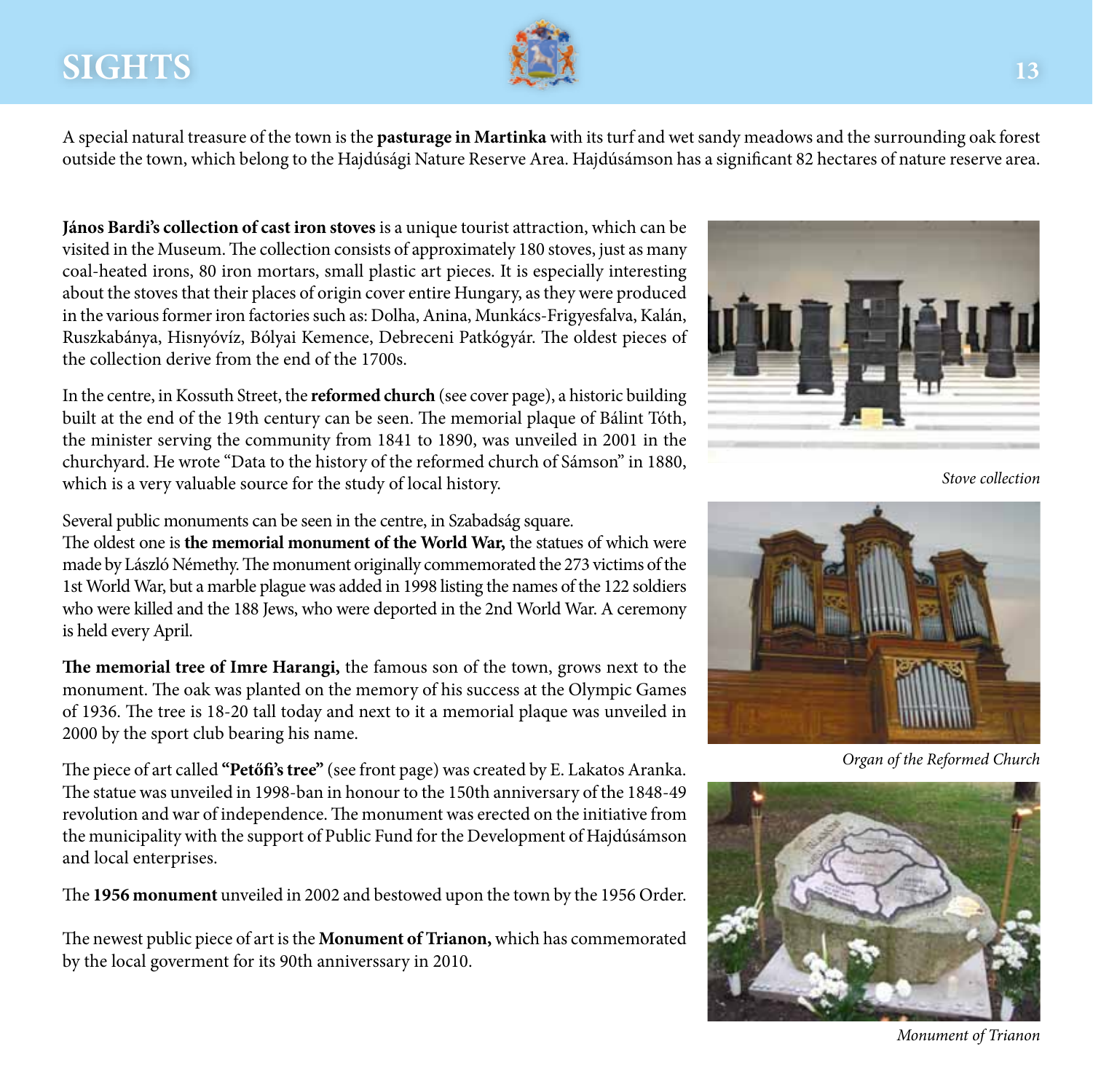### **SIGHTS <sup>13</sup>**



A special natural treasure of the town is the **pasturage in Martinka** with its turf and wet sandy meadows and the surrounding oak forest outside the town, which belong to the Hajdúsági Nature Reserve Area. Hajdúsámson has a significant 82 hectares of nature reserve area.

**János Bardi's collection of cast iron stoves** is a unique tourist attraction, which can be visited in the Museum. The collection consists of approximately 180 stoves, just as many coal-heated irons, 80 iron mortars, small plastic art pieces. It is especially interesting about the stoves that their places of origin cover entire Hungary, as they were produced in the various former iron factories such as: Dolha, Anina, Munkács-Frigyesfalva, Kalán, Ruszkabánya, Hisnyóvíz, Bólyai Kemence, Debreceni Patkógyár. The oldest pieces of the collection derive from the end of the 1700s.

In the centre, in Kossuth Street, the **reformed church** (see cover page), a historic building built at the end of the 19th century can be seen. The memorial plaque of Bálint Tóth, the minister serving the community from 1841 to 1890, was unveiled in 2001 in the churchyard. He wrote "Data to the history of the reformed church of Sámson" in 1880, which is a very valuable source for the study of local history.

Several public monuments can be seen in the centre, in Szabadság square.

The oldest one is **the memorial monument of the World War,** the statues of which were made by László Némethy. The monument originally commemorated the 273 victims of the 1st World War, but a marble plague was added in 1998 listing the names of the 122 soldiers who were killed and the 188 Jews, who were deported in the 2nd World War. A ceremony is held every April.

**The memorial tree of Imre Harangi,** the famous son of the town, grows next to the monument. The oak was planted on the memory of his success at the Olympic Games of 1936. The tree is 18-20 tall today and next to it a memorial plaque was unveiled in 2000 by the sport club bearing his name.

The piece of art called **"Petőfi'stree"** (see front page) was created by E. Lakatos Aranka. The statue was unveiled in 1998-ban in honour to the 150th anniversary of the 1848-49 revolution and war of independence. The monument was erected on the initiative from the municipality with the support of Public Fund for the Development of Hajdúsámson and local enterprises.

The **1956 monument** unveiled in 2002 and bestowed upon the town by the 1956 Order.

The newest public piece of art is the **Monument of Trianon,** which has commemorated by the local goverment for its 90th anniverssary in 2010.



*Stove collection*



*Organ of the Reformed Church*



*Monument of Trianon*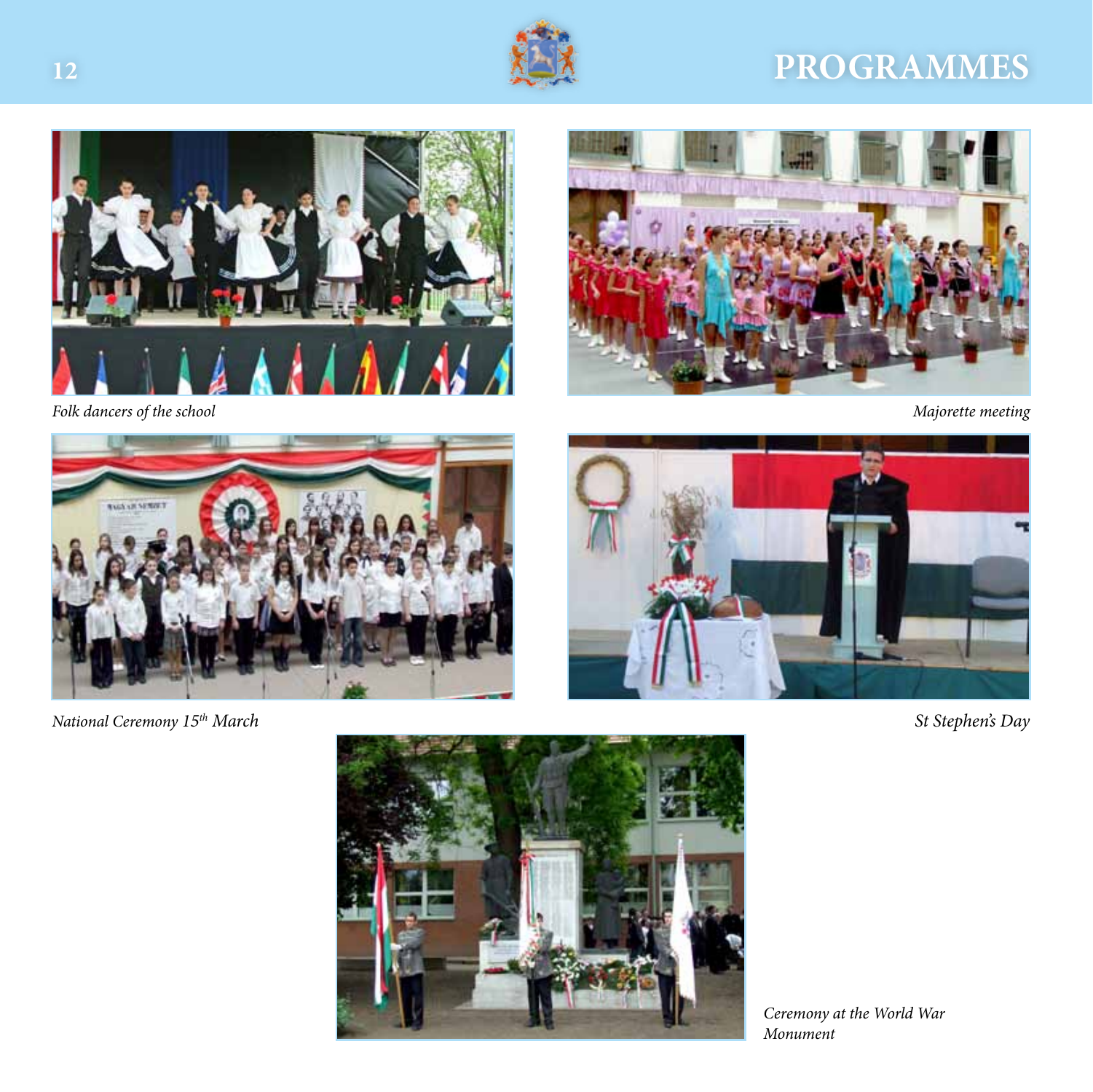### 12 **PROGRAMMES**









*National Ceremony 15th March*



*St Stephen's Day*



*Ceremony at the World War Monument*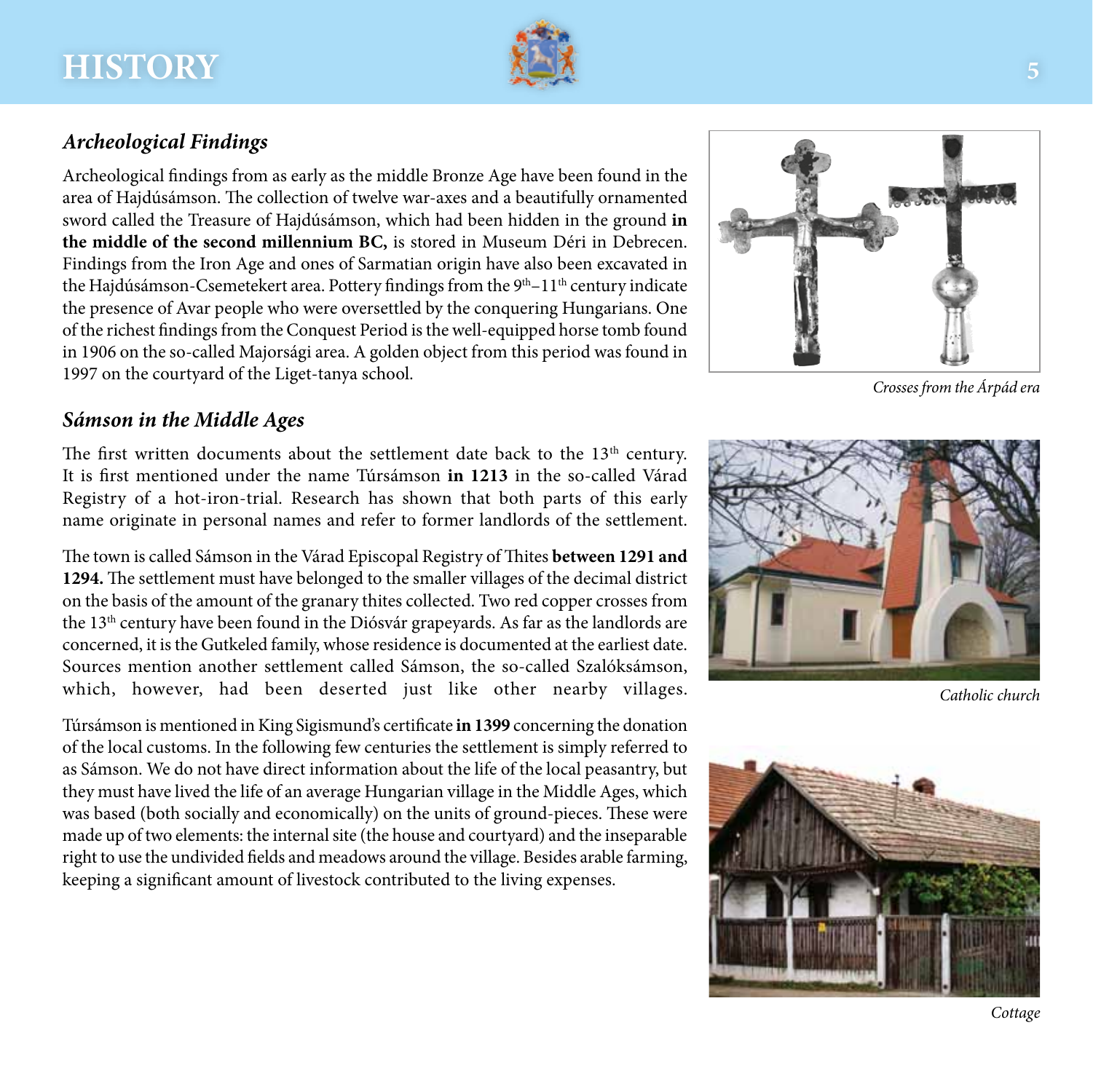### **HISTORY SECURE 2008**



#### *Archeological Findings*

Archeological findings from as early as the middle Bronze Age have been found in the area of Hajdúsámson. The collection of twelve war-axes and a beautifully ornamented sword called the Treasure of Hajdúsámson, which had been hidden in the ground **in the middle of the second millennium BC,** is stored in Museum Déri in Debrecen. Findings from the Iron Age and ones of Sarmatian origin have also been excavated in the Hajdúsámson-Csemetekert area. Pottery findings from the 9<sup>th</sup>-11<sup>th</sup> century indicate the presence of Avar people who were oversettled by the conquering Hungarians. One of the richest findings from the Conquest Period is the well-equipped horse tomb found in 1906 on the so-called Majorsági area. A golden object from this period was found in 1997 on the courtyard of the Liget-tanya school.

#### *Sámson in the Middle Ages*

The first written documents about the settlement date back to the  $13<sup>th</sup>$  century. It is first mentioned under the name Túrsámson **in 1213** in the so-called Várad Registry of a hot-iron-trial. Research has shown that both parts of this early name originate in personal names and refer to former landlords of the settlement.

The town is called Sámson in the Várad Episcopal Registry of Thites **between 1291 and 1294.** The settlement must have belonged to the smaller villages of the decimal district on the basis of the amount of the granary thites collected. Two red copper crosses from the 13th century have been found in the Diósvár grapeyards. As far as the landlords are concerned, it is the Gutkeled family, whose residence is documented at the earliest date. Sources mention another settlement called Sámson, the so-called Szalóksámson, which, however, had been deserted just like other nearby villages.

Túrsámson is mentioned in King Sigismund's certificate **in 1399** concerning the donation of the local customs. In the following few centuries the settlement is simply referred to as Sámson. We do not have direct information about the life of the local peasantry, but they must have lived the life of an average Hungarian village in the Middle Ages, which was based (both socially and economically) on the units of ground-pieces. These were made up of two elements: the internal site (the house and courtyard) and the inseparable right to use the undivided fields and meadows around the village. Besides arable farming, keeping a significant amount of livestock contributed to the living expenses.



*Crosses from the Árpád era*



*Catholic church*



*Cottage*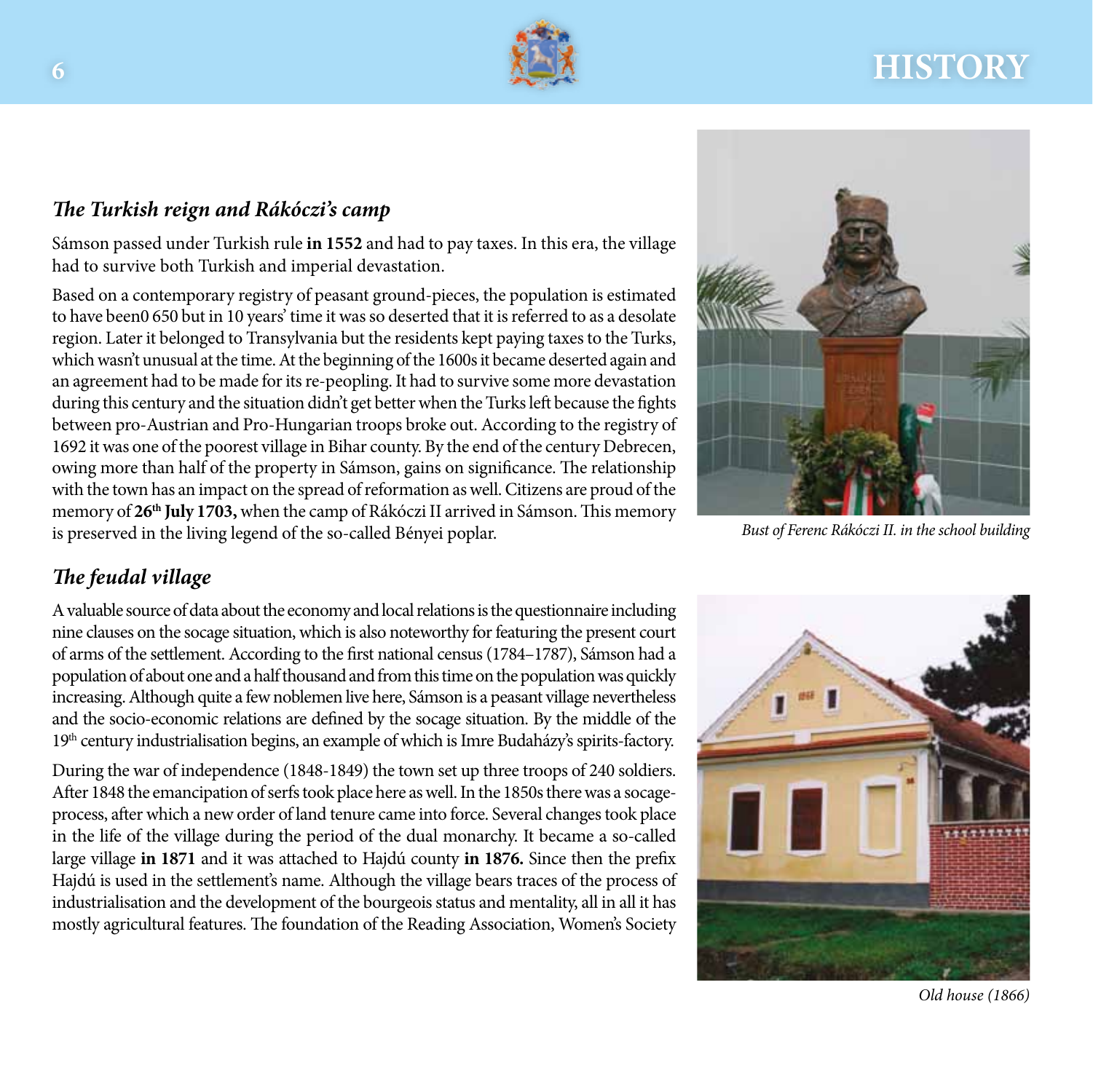### **<sup>6</sup> HISTORY**



#### *The Turkish reign and Rákóczi's camp*

Sámson passed under Turkish rule **in 1552** and had to pay taxes. In this era, the village had to survive both Turkish and imperial devastation.

Based on a contemporary registry of peasant ground-pieces, the population is estimated to have been0 650 but in 10 years' time it was so deserted that it is referred to as a desolate region. Later it belonged to Transylvania but the residents kept paying taxes to the Turks, which wasn't unusual at the time. At the beginning of the 1600s it became deserted again and an agreement had to be made for its re-peopling. It had to survive some more devastation during this century and the situation didn't get better when the Turks left because the fights between pro-Austrian and Pro-Hungarian troops broke out. According to the registry of 1692 it was one of the poorest village in Bihar county. By the end of the century Debrecen, owing more than half of the property in Sámson, gains on significance. The relationship with the town has an impact on the spread of reformation as well. Citizens are proud of the memory of **26th July 1703,** when the camp of Rákóczi II arrived in Sámson. This memory is preserved in the living legend of the so-called Bényei poplar.



*Bust of Ferenc Rákóczi II. in the school building*

#### *The feudal village*

A valuable source of data about the economy and local relations is the questionnaire including nine clauses on the socage situation, which is also noteworthy for featuring the present court of arms of the settlement. According to the first national census (1784–1787), Sámson had a population of about one and a half thousand and from this time on the population was quickly increasing. Although quite a few noblemen live here, Sámson is a peasant village nevertheless and the socio-economic relations are defined by the socage situation. By the middle of the 19th century industrialisation begins, an example of which is Imre Budaházy's spirits-factory.

During the war of independence (1848-1849) the town set up three troops of 240 soldiers. After 1848 the emancipation of serfs took place here as well. In the 1850s there was a socageprocess, after which a new order of land tenure came into force. Several changes took place in the life of the village during the period of the dual monarchy. It became a so-called large village **in 1871** and it was attached to Hajdú county **in 1876.** Since then the prefix Hajdú is used in the settlement's name. Although the village bears traces of the process of industrialisation and the development of the bourgeois status and mentality, all in all it has mostly agricultural features. The foundation of the Reading Association, Women's Society



*Old house (1866)*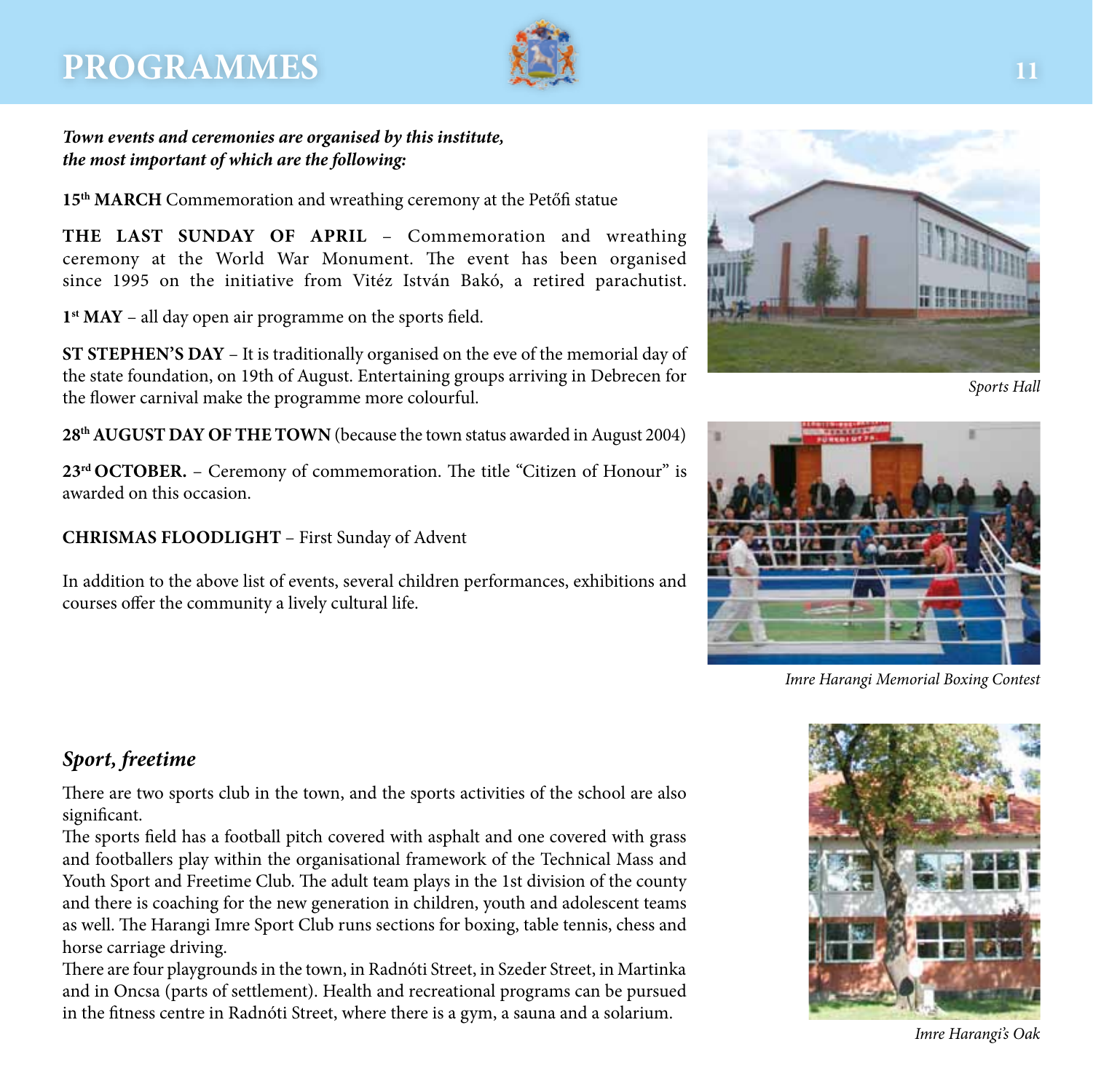### **PROGRAMMES EXAMPLE 2014**



#### *Town events and ceremonies are organised by this institute, the most important of which are the following:*

15<sup>th</sup> MARCH Commemoration and wreathing ceremony at the Petőfi statue

**THE LAST SUNDAY OF APRIL** – Commemoration and wreathing ceremony at the World War Monument. The event has been organised since 1995 on the initiative from Vitéz István Bakó, a retired parachutist.

**1st MAY** – all day open air programme on the sports field.

**ST STEPHEN'S DAY** – It is traditionally organised on the eve of the memorial day of the state foundation, on 19th of August. Entertaining groups arriving in Debrecen for the flower carnival make the programme more colourful.

**28th August Day of the town** (because the town status awarded in August 2004)

**23rd OCTOBER.** – Ceremony of commemoration. The title "Citizen of Honour" is awarded on this occasion.

**Chrismas floodlight** – First Sunday of Advent

In addition to the above list of events, several children performances, exhibitions and courses offer the community a lively cultural life.



*Sports Hall*



*Imre Harangi Memorial Boxing Contest*

#### *Sport, freetime*

There are two sports club in the town, and the sports activities of the school are also significant.

The sports field has a football pitch covered with asphalt and one covered with grass and footballers play within the organisational framework of the Technical Mass and Youth Sport and Freetime Club. The adult team plays in the 1st division of the county and there is coaching for the new generation in children, youth and adolescent teams as well. The Harangi Imre Sport Club runs sections for boxing, table tennis, chess and horse carriage driving.

There are four playgrounds in the town, in Radnóti Street, in Szeder Street, in Martinka and in Oncsa (parts of settlement). Health and recreational programs can be pursued in the fitness centre in Radnóti Street, where there is a gym, a sauna and a solarium.



*Imre Harangi's Oak*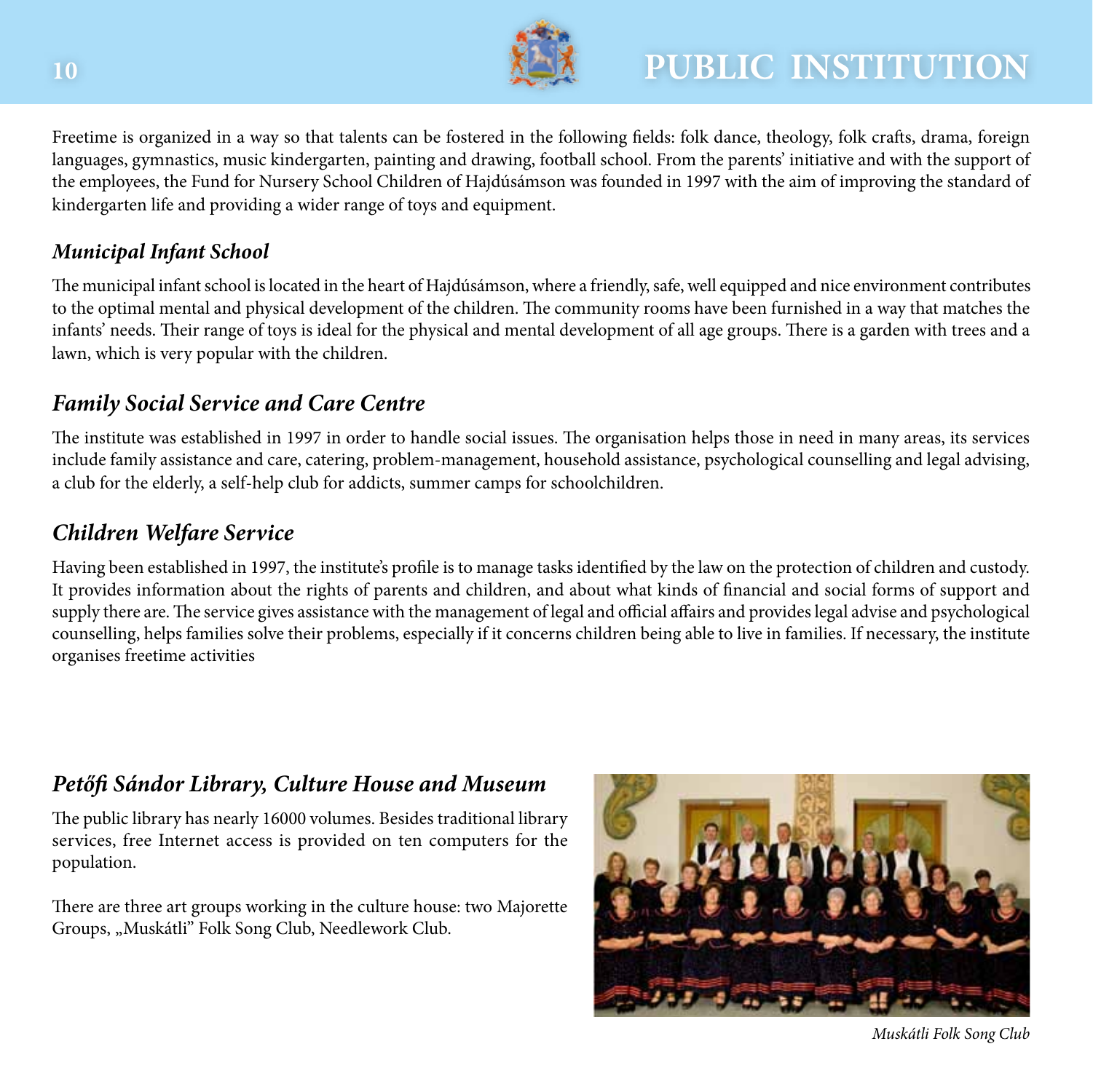

Freetime is organized in a way so that talents can be fostered in the following fields: folk dance, theology, folk crafts, drama, foreign languages, gymnastics, music kindergarten, painting and drawing, football school. From the parents' initiative and with the support of the employees, the Fund for Nursery School Children of Hajdúsámson was founded in 1997 with the aim of improving the standard of kindergarten life and providing a wider range of toys and equipment.

#### *Municipal Infant School*

The municipal infant school is located in the heart of Hajdúsámson, where a friendly, safe, well equipped and nice environment contributes to the optimal mental and physical development of the children. The community rooms have been furnished in a way that matches the infants' needs. Their range of toys is ideal for the physical and mental development of all age groups. There is a garden with trees and a lawn, which is very popular with the children.

#### *Family Social Service and Care Centre*

The institute was established in 1997 in order to handle social issues. The organisation helps those in need in many areas, its services include family assistance and care, catering, problem-management, household assistance, psychological counselling and legal advising, a club for the elderly, a self-help club for addicts, summer camps for schoolchildren.

### *Children Welfare Service*

Having been established in 1997, the institute's profile is to manage tasks identified by the law on the protection of children and custody. It provides information about the rights of parents and children, and about what kinds of financial and social forms of support and supply there are. The service gives assistance with the management of legal and official affairs and provides legal advise and psychological counselling, helps families solve their problems, especially if it concerns children being able to live in families. If necessary, the institute organises freetime activities

### *Petőfi Sándor Library, Culture House and Museum*

The public library has nearly 16000 volumes. Besides traditional library services, free Internet access is provided on ten computers for the population.

There are three art groups working in the culture house: two Majorette Groups, "Muskátli" Folk Song Club, Needlework Club.



*Muskátli Folk Song Club*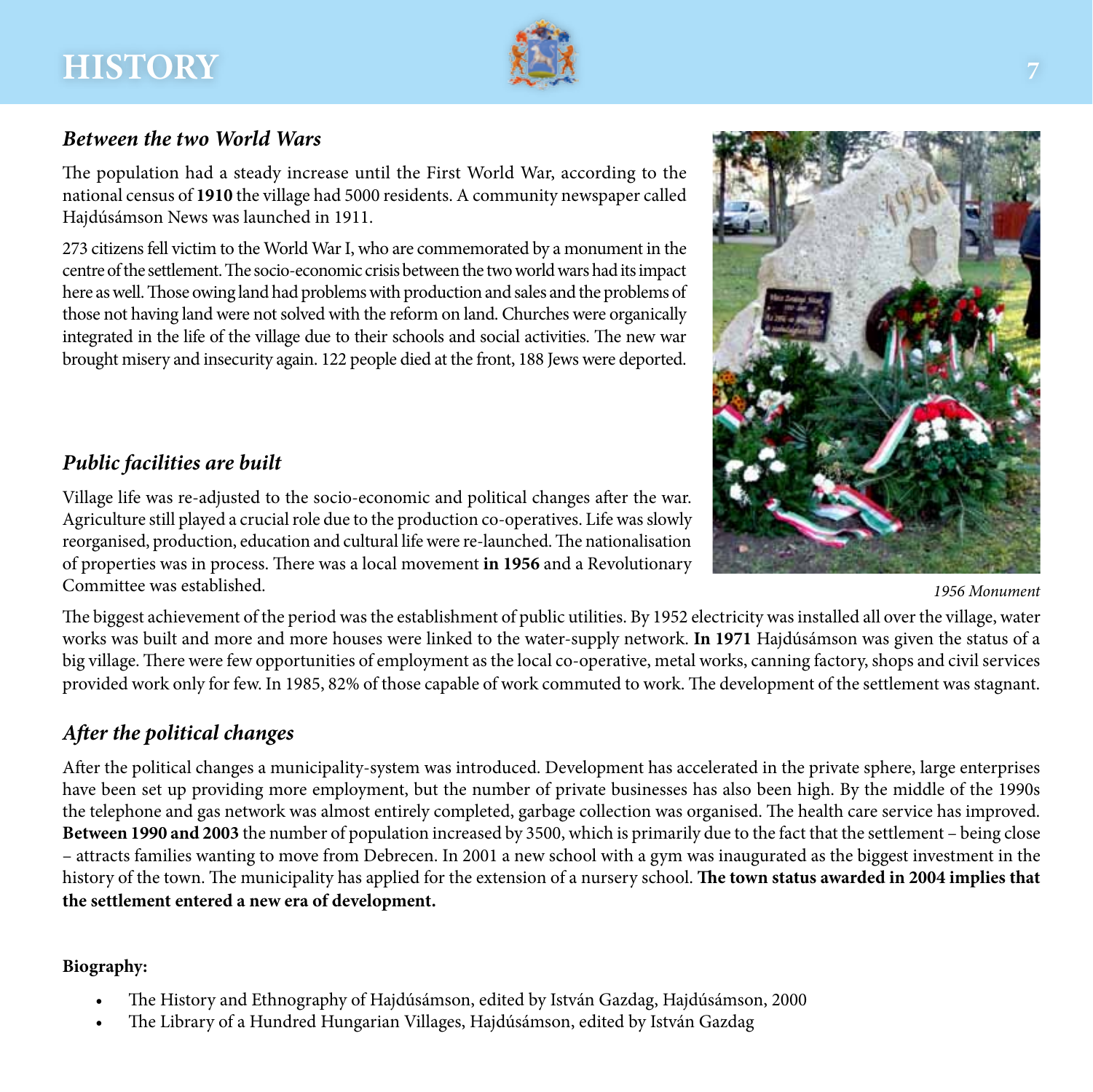

#### *Between the two World Wars*

The population had a steady increase until the First World War, according to the national census of **1910** the village had 5000 residents. A community newspaper called Hajdúsámson News was launched in 1911.

273 citizens fell victim to the World War I, who are commemorated by a monument in the centre of the settlement. The socio-economic crisis between the two world wars had its impact here as well. Those owing land had problems with production and sales and the problems of those not having land were not solved with the reform on land. Churches were organically integrated in the life of the village due to their schools and social activities. The new war brought misery and insecurity again. 122 people died at the front, 188 Jews were deported.

#### *Public facilities are built*

Village life was re-adjusted to the socio-economic and political changes after the war. Agriculture still played a crucial role due to the production co-operatives. Life was slowly reorganised, production, education and cultural life were re-launched. The nationalisation of properties was in process. There was a local movement **in 1956** and a Revolutionary Committee was established.



*1956 Monument*

The biggest achievement of the period was the establishment of public utilities. By 1952 electricity was installed all over the village, water works was built and more and more houses were linked to the water-supply network. **In 1971** Hajdúsámson was given the status of a big village. There were few opportunities of employment as the local co-operative, metal works, canning factory, shops and civil services provided work only for few. In 1985, 82% of those capable of work commuted to work. The development of the settlement was stagnant.

#### *After the political changes*

After the political changes a municipality-system was introduced. Development has accelerated in the private sphere, large enterprises have been set up providing more employment, but the number of private businesses has also been high. By the middle of the 1990s the telephone and gas network was almost entirely completed, garbage collection was organised. The health care service has improved. **Between 1990 and 2003** the number of population increased by 3500, which is primarily due to the fact that the settlement – being close – attracts families wanting to move from Debrecen. In 2001 a new school with a gym was inaugurated as the biggest investment in the history of the town. The municipality has applied for the extension of a nursery school. **The town status awarded in 2004 implies that the settlement entered a new era of development.**

#### **Biography:**

- The History and Ethnography of Hajdúsámson, edited by István Gazdag, Hajdúsámson, 2000
- The Library of a Hundred Hungarian Villages, Hajdúsámson, edited by István Gazdag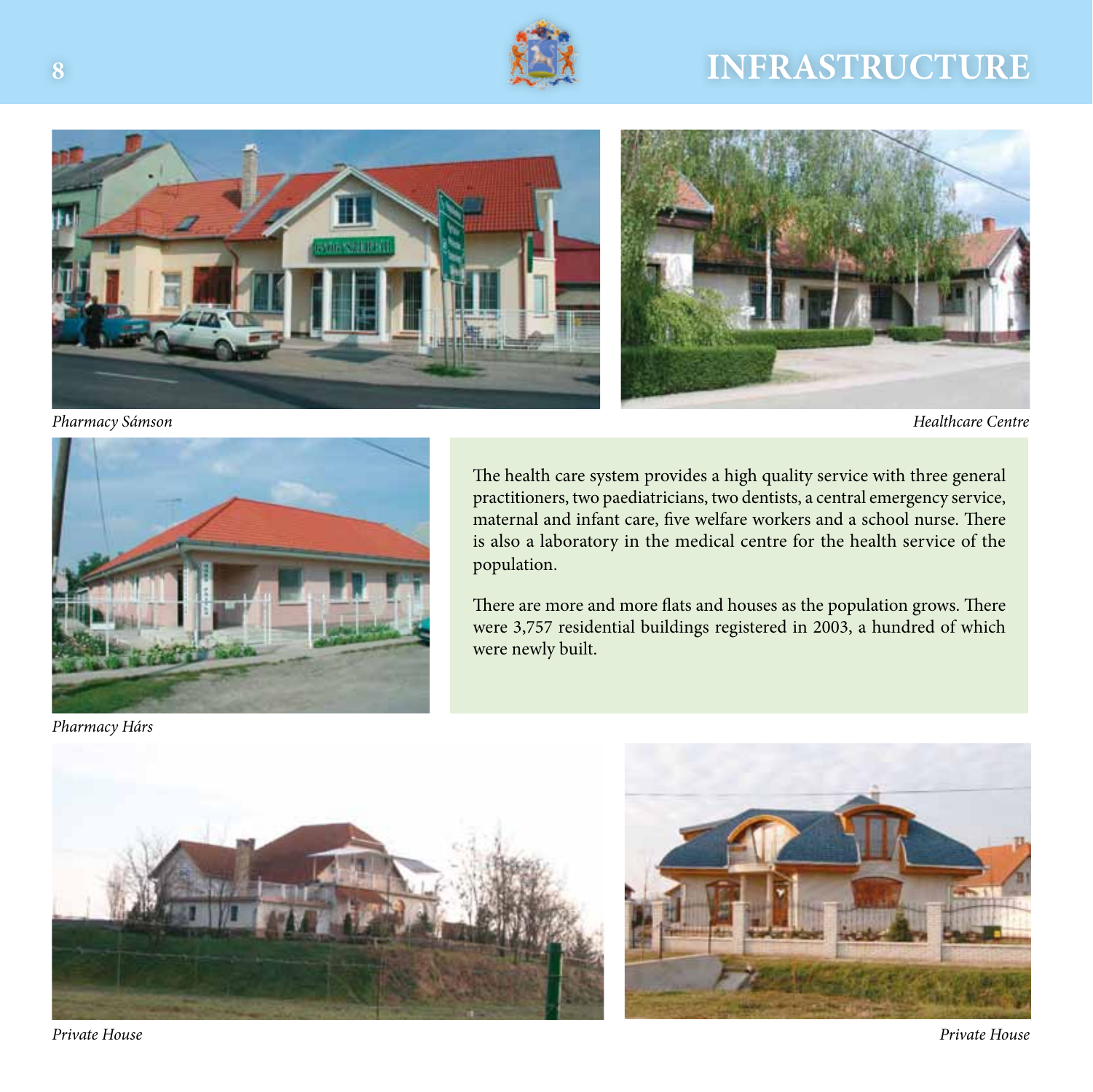### **8 INFRASTRUCTURE**









*Pharmacy Hárs*

The health care system provides a high quality service with three general practitioners, two paediatricians, two dentists, a central emergency service, maternal and infant care, five welfare workers and a school nurse. There is also a laboratory in the medical centre for the health service of the population.

There are more and more flats and houses as the population grows. There were 3,757 residential buildings registered in 2003, a hundred of which were newly built.





*Private House Private House*